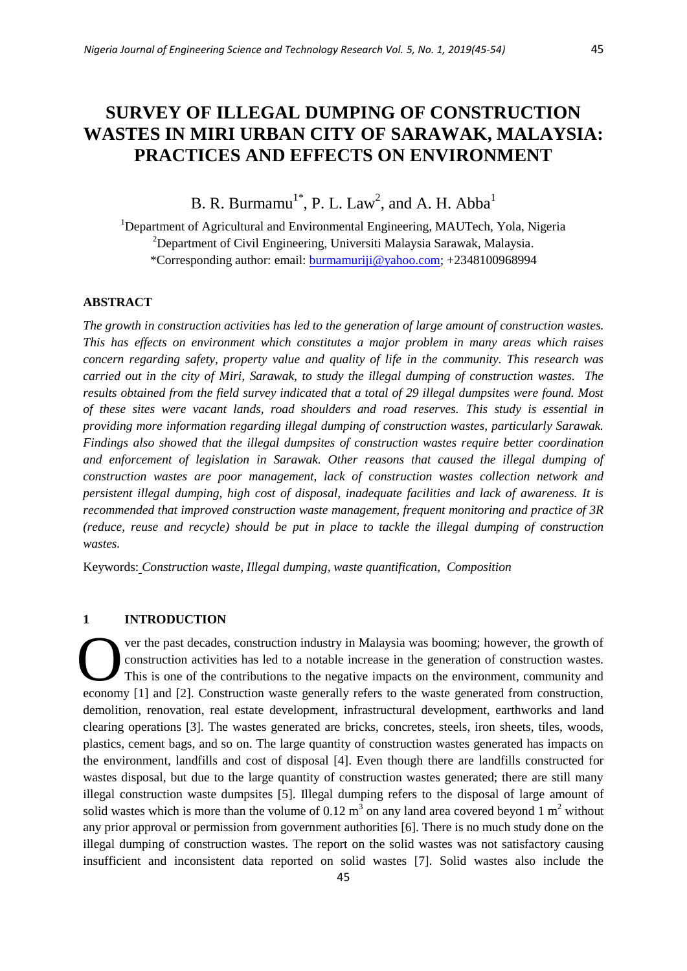# **SURVEY OF ILLEGAL DUMPING OF CONSTRUCTION WASTES IN MIRI URBAN CITY OF SARAWAK, MALAYSIA: PRACTICES AND EFFECTS ON ENVIRONMENT**

B. R. Burmamu<sup>1\*</sup>, P. L. Law<sup>2</sup>, and A. H. Abba<sup>1</sup>

<sup>1</sup>Department of Agricultural and Environmental Engineering, MAUTech, Yola, Nigeria <sup>2</sup>Department of Civil Engineering, Universiti Malaysia Sarawak, Malaysia. \*Corresponding author: email: [burmamuriji@yahoo.com;](mailto:burmamuriji@yahoo.com) +2348100968994

## **ABSTRACT**

*The growth in construction activities has led to the generation of large amount of construction wastes. This has effects on environment which constitutes a major problem in many areas which raises concern regarding safety, property value and quality of life in the community. This research was carried out in the city of Miri, Sarawak, to study the illegal dumping of construction wastes. The results obtained from the field survey indicated that a total of 29 illegal dumpsites were found. Most of these sites were vacant lands, road shoulders and road reserves. This study is essential in providing more information regarding illegal dumping of construction wastes, particularly Sarawak. Findings also showed that the illegal dumpsites of construction wastes require better coordination and enforcement of legislation in Sarawak. Other reasons that caused the illegal dumping of construction wastes are poor management, lack of construction wastes collection network and persistent illegal dumping, high cost of disposal, inadequate facilities and lack of awareness. It is recommended that improved construction waste management, frequent monitoring and practice of 3R (reduce, reuse and recycle) should be put in place to tackle the illegal dumping of construction wastes.*

Keywords: *Construction waste, Illegal dumping, waste quantification, Composition*

## **1 INTRODUCTION**

ver the past decades, construction industry in Malaysia was booming; however, the growth of construction activities has led to a notable increase in the generation of construction wastes. This is one of the contributions to the negative impacts on the environment, community and economy [1] and [2]. Construction waste generally refers to the waste generated from construction, demolition, renovation, real estate development, infrastructural development, earthworks and land clearing operations [3]. The wastes generated are bricks, concretes, steels, iron sheets, tiles, woods, plastics, cement bags, and so on. The large quantity of construction wastes generated has impacts on the environment, landfills and cost of disposal [4]. Even though there are landfills constructed for wastes disposal, but due to the large quantity of construction wastes generated; there are still many illegal construction waste dumpsites [5]. Illegal dumping refers to the disposal of large amount of solid wastes which is more than the volume of 0.12  $m<sup>3</sup>$  on any land area covered beyond 1  $m<sup>2</sup>$  without any prior approval or permission from government authorities [6]. There is no much study done on the illegal dumping of construction wastes. The report on the solid wastes was not satisfactory causing insufficient and inconsistent data reported on solid wastes [7]. Solid wastes also include the O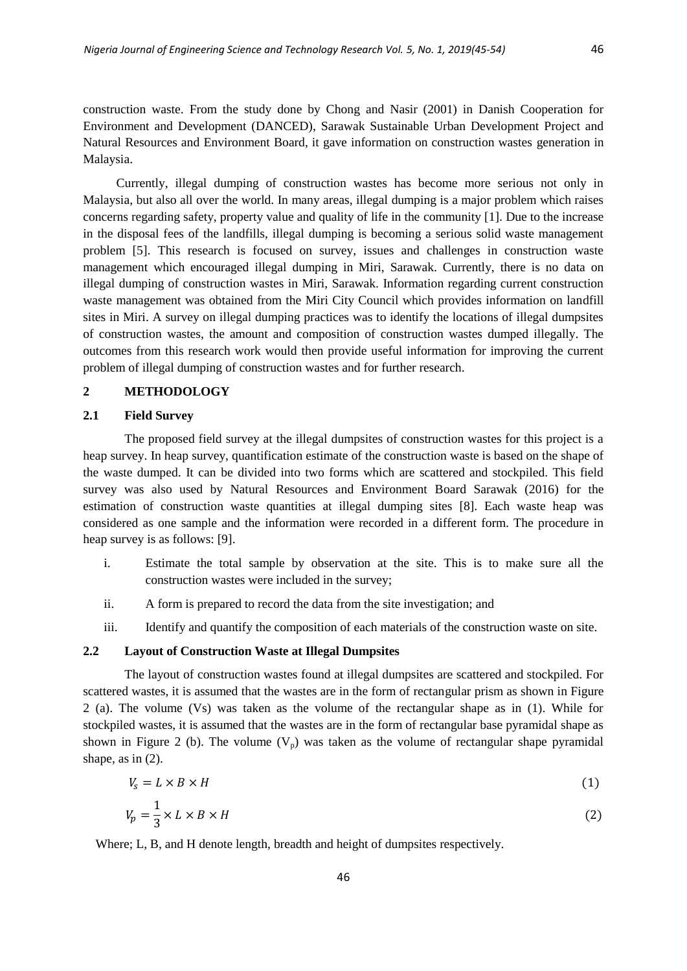construction waste. From the study done by Chong and Nasir (2001) in Danish Cooperation for Environment and Development (DANCED), Sarawak Sustainable Urban Development Project and Natural Resources and Environment Board, it gave information on construction wastes generation in Malaysia.

Currently, illegal dumping of construction wastes has become more serious not only in Malaysia, but also all over the world. In many areas, illegal dumping is a major problem which raises concerns regarding safety, property value and quality of life in the community [1]. Due to the increase in the disposal fees of the landfills, illegal dumping is becoming a serious solid waste management problem [5]. This research is focused on survey, issues and challenges in construction waste management which encouraged illegal dumping in Miri, Sarawak. Currently, there is no data on illegal dumping of construction wastes in Miri, Sarawak. Information regarding current construction waste management was obtained from the Miri City Council which provides information on landfill sites in Miri. A survey on illegal dumping practices was to identify the locations of illegal dumpsites of construction wastes, the amount and composition of construction wastes dumped illegally. The outcomes from this research work would then provide useful information for improving the current problem of illegal dumping of construction wastes and for further research.

## **2 METHODOLOGY**

## **2.1 Field Survey**

The proposed field survey at the illegal dumpsites of construction wastes for this project is a heap survey. In heap survey, quantification estimate of the construction waste is based on the shape of the waste dumped. It can be divided into two forms which are scattered and stockpiled. This field survey was also used by Natural Resources and Environment Board Sarawak (2016) for the estimation of construction waste quantities at illegal dumping sites [8]. Each waste heap was considered as one sample and the information were recorded in a different form. The procedure in heap survey is as follows: [9].

- i. Estimate the total sample by observation at the site. This is to make sure all the construction wastes were included in the survey;
- ii. A form is prepared to record the data from the site investigation; and
- iii. Identify and quantify the composition of each materials of the construction waste on site.

# **2.2 Layout of Construction Waste at Illegal Dumpsites**

The layout of construction wastes found at illegal dumpsites are scattered and stockpiled. For scattered wastes, it is assumed that the wastes are in the form of rectangular prism as shown in Figure 2 (a). The volume (Vs) was taken as the volume of the rectangular shape as in (1). While for stockpiled wastes, it is assumed that the wastes are in the form of rectangular base pyramidal shape as shown in Figure 2 (b). The volume  $(V_p)$  was taken as the volume of rectangular shape pyramidal shape, as in (2).

$$
V_s = L \times B \times H \tag{1}
$$

$$
V_p = \frac{1}{3} \times L \times B \times H \tag{2}
$$

Where; L, B, and H denote length, breadth and height of dumpsites respectively.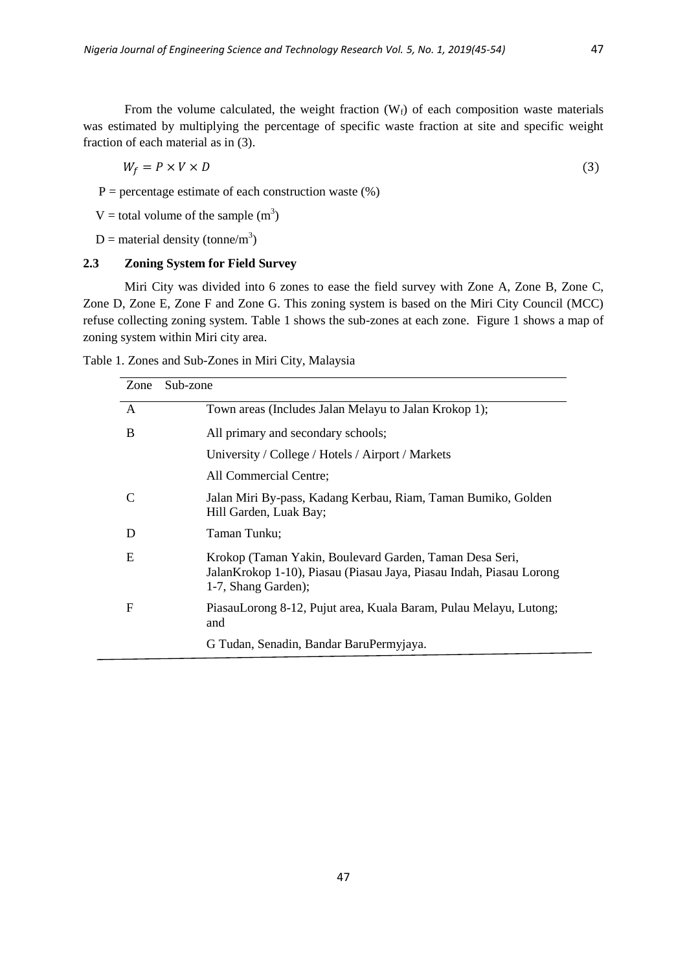From the volume calculated, the weight fraction  $(W_f)$  of each composition waste materials was estimated by multiplying the percentage of specific waste fraction at site and specific weight fraction of each material as in (3).

$$
W_f = P \times V \times D \tag{3}
$$

 $P =$  percentage estimate of each construction waste  $(\%)$ 

V = total volume of the sample  $(m^3)$ 

 $D =$  material density (tonne/m<sup>3</sup>)

# **2.3 Zoning System for Field Survey**

Miri City was divided into 6 zones to ease the field survey with Zone A, Zone B, Zone C, Zone D, Zone E, Zone F and Zone G. This zoning system is based on the Miri City Council (MCC) refuse collecting zoning system. Table 1 shows the sub-zones at each zone. Figure 1 shows a map of zoning system within Miri city area.

|  | Table 1. Zones and Sub-Zones in Miri City, Malaysia |  |  |  |
|--|-----------------------------------------------------|--|--|--|
|--|-----------------------------------------------------|--|--|--|

| Sub-zone<br>Zone |                                                                                                                                                        |
|------------------|--------------------------------------------------------------------------------------------------------------------------------------------------------|
| A                | Town areas (Includes Jalan Melayu to Jalan Krokop 1);                                                                                                  |
| B                | All primary and secondary schools;                                                                                                                     |
|                  | University / College / Hotels / Airport / Markets                                                                                                      |
|                  | All Commercial Centre;                                                                                                                                 |
|                  | Jalan Miri By-pass, Kadang Kerbau, Riam, Taman Bumiko, Golden<br>Hill Garden, Luak Bay;                                                                |
| D                | Taman Tunku;                                                                                                                                           |
| E                | Krokop (Taman Yakin, Boulevard Garden, Taman Desa Seri,<br>Jalan Krokop 1-10), Piasau (Piasau Jaya, Piasau Indah, Piasau Lorong<br>1-7, Shang Garden); |
| F                | PiasauLorong 8-12, Pujut area, Kuala Baram, Pulau Melayu, Lutong;<br>and                                                                               |
|                  | G Tudan, Senadin, Bandar BaruPermyjaya.                                                                                                                |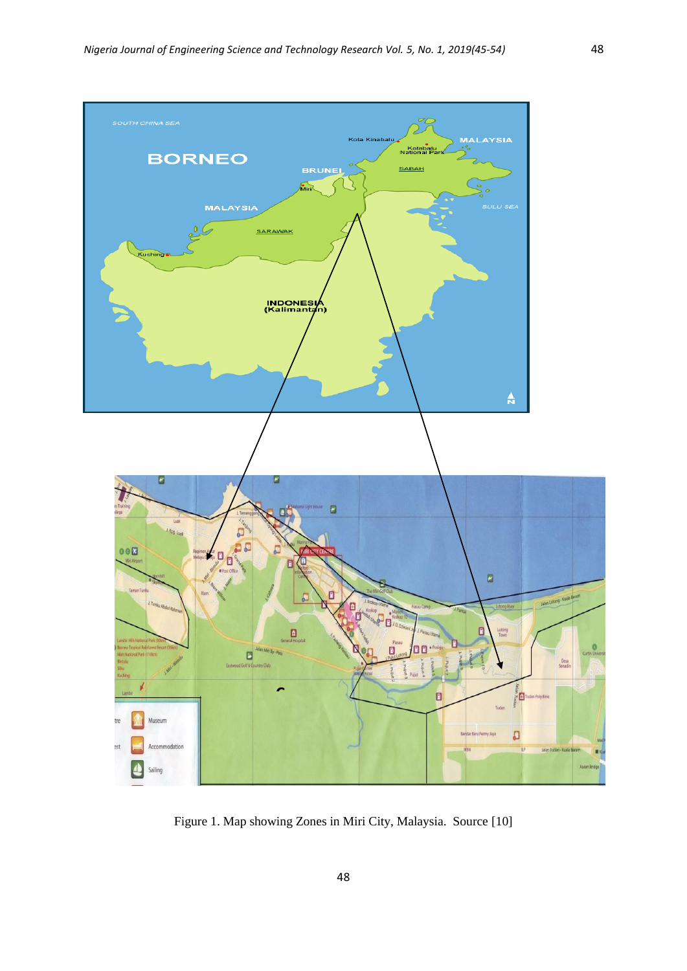

Figure 1. Map showing Zones in Miri City, Malaysia. Source [10]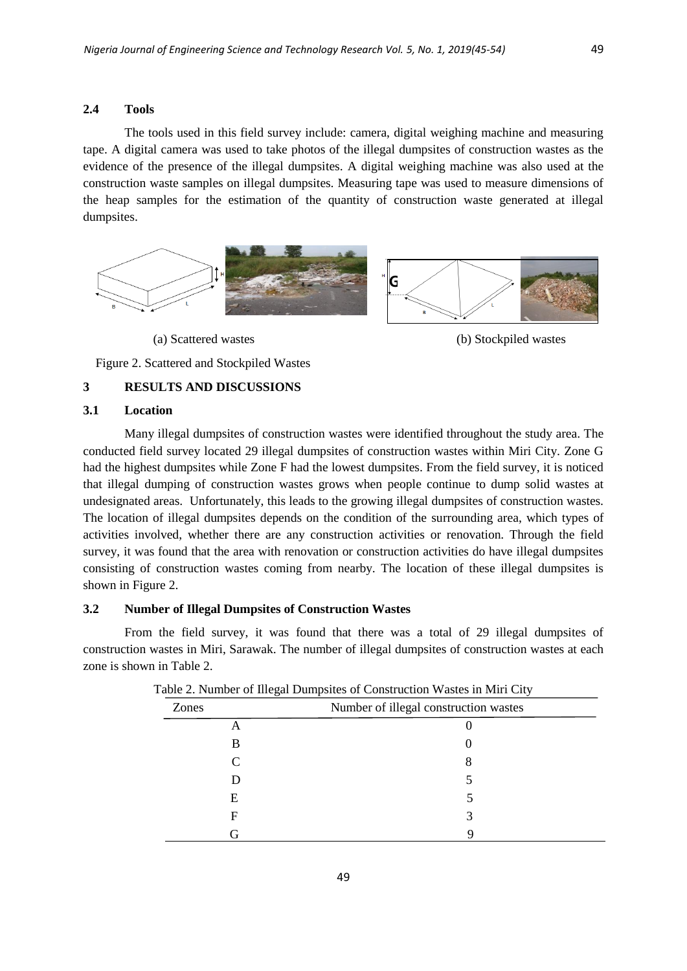## **2.4 Tools**

The tools used in this field survey include: camera, digital weighing machine and measuring tape. A digital camera was used to take photos of the illegal dumpsites of construction wastes as the evidence of the presence of the illegal dumpsites. A digital weighing machine was also used at the construction waste samples on illegal dumpsites. Measuring tape was used to measure dimensions of the heap samples for the estimation of the quantity of construction waste generated at illegal dumpsites.





Figure 2. Scattered and Stockpiled Wastes

# **3 RESULTS AND DISCUSSIONS**

## **3.1 Location**

Many illegal dumpsites of construction wastes were identified throughout the study area. The conducted field survey located 29 illegal dumpsites of construction wastes within Miri City. Zone G had the highest dumpsites while Zone F had the lowest dumpsites. From the field survey, it is noticed that illegal dumping of construction wastes grows when people continue to dump solid wastes at undesignated areas. Unfortunately, this leads to the growing illegal dumpsites of construction wastes. The location of illegal dumpsites depends on the condition of the surrounding area, which types of activities involved, whether there are any construction activities or renovation. Through the field survey, it was found that the area with renovation or construction activities do have illegal dumpsites consisting of construction wastes coming from nearby. The location of these illegal dumpsites is shown in Figure 2.

#### **3.2 Number of Illegal Dumpsites of Construction Wastes**

From the field survey, it was found that there was a total of 29 illegal dumpsites of construction wastes in Miri, Sarawak. The number of illegal dumpsites of construction wastes at each zone is shown in Table 2.

| ັ     |                                       |  |
|-------|---------------------------------------|--|
| Zones | Number of illegal construction wastes |  |
|       |                                       |  |
| B     |                                       |  |
|       |                                       |  |
|       |                                       |  |
| E     |                                       |  |
|       |                                       |  |
|       |                                       |  |

|  |  | Table 2. Number of Illegal Dumpsites of Construction Wastes in Miri City |  |  |
|--|--|--------------------------------------------------------------------------|--|--|
|  |  |                                                                          |  |  |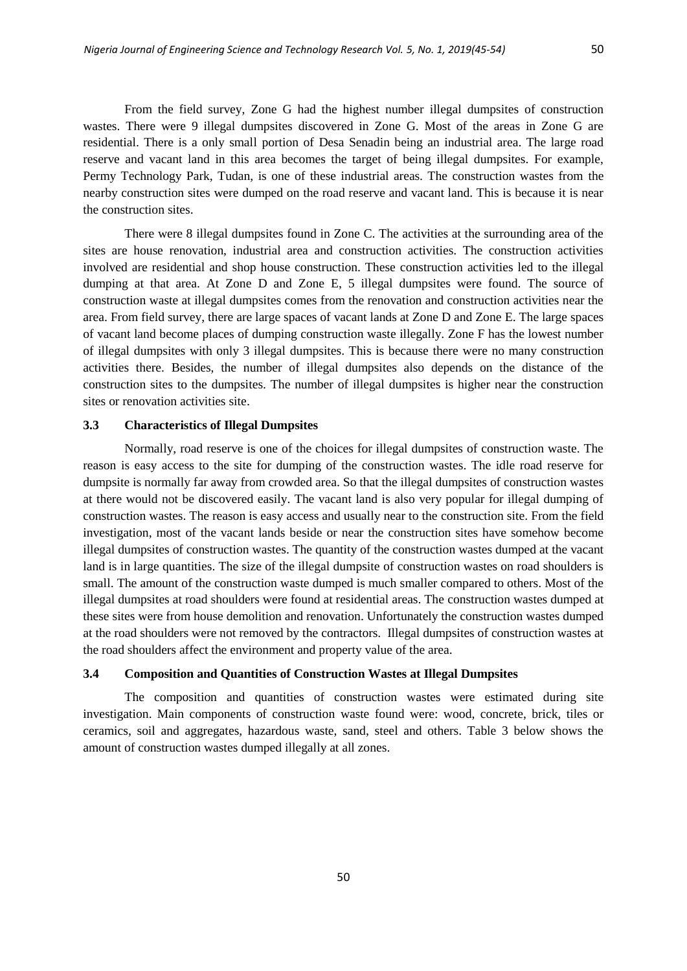From the field survey, Zone G had the highest number illegal dumpsites of construction wastes. There were 9 illegal dumpsites discovered in Zone G. Most of the areas in Zone G are residential. There is a only small portion of Desa Senadin being an industrial area. The large road reserve and vacant land in this area becomes the target of being illegal dumpsites. For example, Permy Technology Park, Tudan, is one of these industrial areas. The construction wastes from the nearby construction sites were dumped on the road reserve and vacant land. This is because it is near the construction sites.

There were 8 illegal dumpsites found in Zone C. The activities at the surrounding area of the sites are house renovation, industrial area and construction activities. The construction activities involved are residential and shop house construction. These construction activities led to the illegal dumping at that area. At Zone D and Zone E, 5 illegal dumpsites were found. The source of construction waste at illegal dumpsites comes from the renovation and construction activities near the area. From field survey, there are large spaces of vacant lands at Zone D and Zone E. The large spaces of vacant land become places of dumping construction waste illegally. Zone F has the lowest number of illegal dumpsites with only 3 illegal dumpsites. This is because there were no many construction activities there. Besides, the number of illegal dumpsites also depends on the distance of the construction sites to the dumpsites. The number of illegal dumpsites is higher near the construction sites or renovation activities site.

# **3.3 Characteristics of Illegal Dumpsites**

Normally, road reserve is one of the choices for illegal dumpsites of construction waste. The reason is easy access to the site for dumping of the construction wastes. The idle road reserve for dumpsite is normally far away from crowded area. So that the illegal dumpsites of construction wastes at there would not be discovered easily. The vacant land is also very popular for illegal dumping of construction wastes. The reason is easy access and usually near to the construction site. From the field investigation, most of the vacant lands beside or near the construction sites have somehow become illegal dumpsites of construction wastes. The quantity of the construction wastes dumped at the vacant land is in large quantities. The size of the illegal dumpsite of construction wastes on road shoulders is small. The amount of the construction waste dumped is much smaller compared to others. Most of the illegal dumpsites at road shoulders were found at residential areas. The construction wastes dumped at these sites were from house demolition and renovation. Unfortunately the construction wastes dumped at the road shoulders were not removed by the contractors. Illegal dumpsites of construction wastes at the road shoulders affect the environment and property value of the area.

# **3.4 Composition and Quantities of Construction Wastes at Illegal Dumpsites**

The composition and quantities of construction wastes were estimated during site investigation. Main components of construction waste found were: wood, concrete, brick, tiles or ceramics, soil and aggregates, hazardous waste, sand, steel and others. Table 3 below shows the amount of construction wastes dumped illegally at all zones.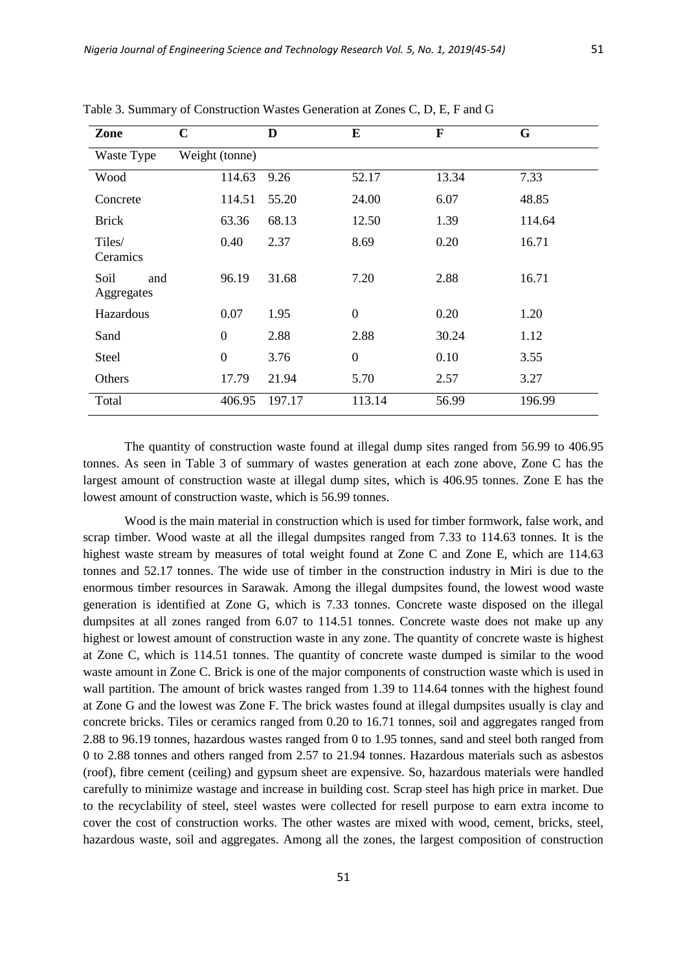| Zone                      | $\mathbf C$    | D      | E                | F     | G      |
|---------------------------|----------------|--------|------------------|-------|--------|
| Waste Type                | Weight (tonne) |        |                  |       |        |
| Wood                      | 114.63         | 9.26   | 52.17            | 13.34 | 7.33   |
| Concrete                  | 114.51         | 55.20  | 24.00            | 6.07  | 48.85  |
| <b>Brick</b>              | 63.36          | 68.13  | 12.50            | 1.39  | 114.64 |
| Tiles/<br>Ceramics        | 0.40           | 2.37   | 8.69             | 0.20  | 16.71  |
| Soil<br>and<br>Aggregates | 96.19          | 31.68  | 7.20             | 2.88  | 16.71  |
| Hazardous                 | 0.07           | 1.95   | $\boldsymbol{0}$ | 0.20  | 1.20   |
| Sand                      | $\theta$       | 2.88   | 2.88             | 30.24 | 1.12   |
| Steel                     | $\mathbf{0}$   | 3.76   | $\boldsymbol{0}$ | 0.10  | 3.55   |
| Others                    | 17.79          | 21.94  | 5.70             | 2.57  | 3.27   |
| Total                     | 406.95         | 197.17 | 113.14           | 56.99 | 196.99 |

Table 3. Summary of Construction Wastes Generation at Zones C, D, E, F and G

The quantity of construction waste found at illegal dump sites ranged from 56.99 to 406.95 tonnes. As seen in Table 3 of summary of wastes generation at each zone above, Zone C has the largest amount of construction waste at illegal dump sites, which is 406.95 tonnes. Zone E has the lowest amount of construction waste, which is 56.99 tonnes.

Wood is the main material in construction which is used for timber formwork, false work, and scrap timber. Wood waste at all the illegal dumpsites ranged from 7.33 to 114.63 tonnes. It is the highest waste stream by measures of total weight found at Zone C and Zone E, which are 114.63 tonnes and 52.17 tonnes. The wide use of timber in the construction industry in Miri is due to the enormous timber resources in Sarawak. Among the illegal dumpsites found, the lowest wood waste generation is identified at Zone G, which is 7.33 tonnes. Concrete waste disposed on the illegal dumpsites at all zones ranged from 6.07 to 114.51 tonnes. Concrete waste does not make up any highest or lowest amount of construction waste in any zone. The quantity of concrete waste is highest at Zone C, which is 114.51 tonnes. The quantity of concrete waste dumped is similar to the wood waste amount in Zone C. Brick is one of the major components of construction waste which is used in wall partition. The amount of brick wastes ranged from 1.39 to 114.64 tonnes with the highest found at Zone G and the lowest was Zone F. The brick wastes found at illegal dumpsites usually is clay and concrete bricks. Tiles or ceramics ranged from 0.20 to 16.71 tonnes, soil and aggregates ranged from 2.88 to 96.19 tonnes, hazardous wastes ranged from 0 to 1.95 tonnes, sand and steel both ranged from 0 to 2.88 tonnes and others ranged from 2.57 to 21.94 tonnes. Hazardous materials such as asbestos (roof), fibre cement (ceiling) and gypsum sheet are expensive. So, hazardous materials were handled carefully to minimize wastage and increase in building cost. Scrap steel has high price in market. Due to the recyclability of steel, steel wastes were collected for resell purpose to earn extra income to cover the cost of construction works. The other wastes are mixed with wood, cement, bricks, steel, hazardous waste, soil and aggregates. Among all the zones, the largest composition of construction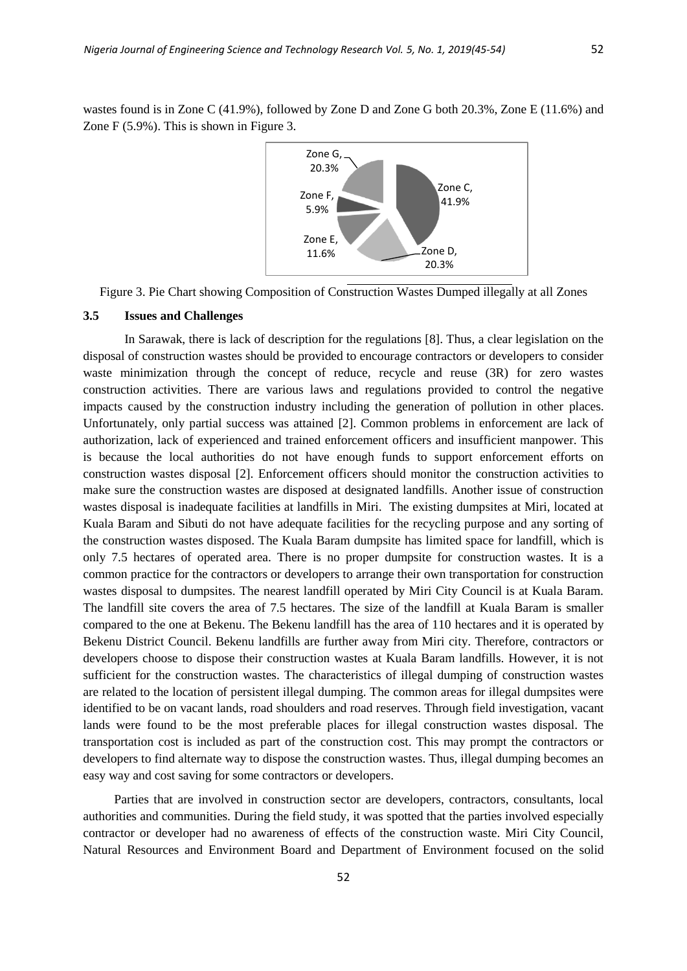wastes found is in Zone C (41.9%), followed by Zone D and Zone G both 20.3%, Zone E (11.6%) and Zone F (5.9%). This is shown in Figure 3.



Figure 3. Pie Chart showing Composition of Construction Wastes Dumped illegally at all Zones

## **3.5 Issues and Challenges**

In Sarawak, there is lack of description for the regulations [8]. Thus, a clear legislation on the disposal of construction wastes should be provided to encourage contractors or developers to consider waste minimization through the concept of reduce, recycle and reuse (3R) for zero wastes construction activities. There are various laws and regulations provided to control the negative impacts caused by the construction industry including the generation of pollution in other places. Unfortunately, only partial success was attained [2]. Common problems in enforcement are lack of authorization, lack of experienced and trained enforcement officers and insufficient manpower. This is because the local authorities do not have enough funds to support enforcement efforts on construction wastes disposal [2]. Enforcement officers should monitor the construction activities to make sure the construction wastes are disposed at designated landfills. Another issue of construction wastes disposal is inadequate facilities at landfills in Miri. The existing dumpsites at Miri, located at Kuala Baram and Sibuti do not have adequate facilities for the recycling purpose and any sorting of the construction wastes disposed. The Kuala Baram dumpsite has limited space for landfill, which is only 7.5 hectares of operated area. There is no proper dumpsite for construction wastes. It is a common practice for the contractors or developers to arrange their own transportation for construction wastes disposal to dumpsites. The nearest landfill operated by Miri City Council is at Kuala Baram. The landfill site covers the area of 7.5 hectares. The size of the landfill at Kuala Baram is smaller compared to the one at Bekenu. The Bekenu landfill has the area of 110 hectares and it is operated by Bekenu District Council. Bekenu landfills are further away from Miri city. Therefore, contractors or developers choose to dispose their construction wastes at Kuala Baram landfills. However, it is not sufficient for the construction wastes. The characteristics of illegal dumping of construction wastes are related to the location of persistent illegal dumping. The common areas for illegal dumpsites were identified to be on vacant lands, road shoulders and road reserves. Through field investigation, vacant lands were found to be the most preferable places for illegal construction wastes disposal. The transportation cost is included as part of the construction cost. This may prompt the contractors or developers to find alternate way to dispose the construction wastes. Thus, illegal dumping becomes an easy way and cost saving for some contractors or developers.

Parties that are involved in construction sector are developers, contractors, consultants, local authorities and communities. During the field study, it was spotted that the parties involved especially contractor or developer had no awareness of effects of the construction waste. Miri City Council, Natural Resources and Environment Board and Department of Environment focused on the solid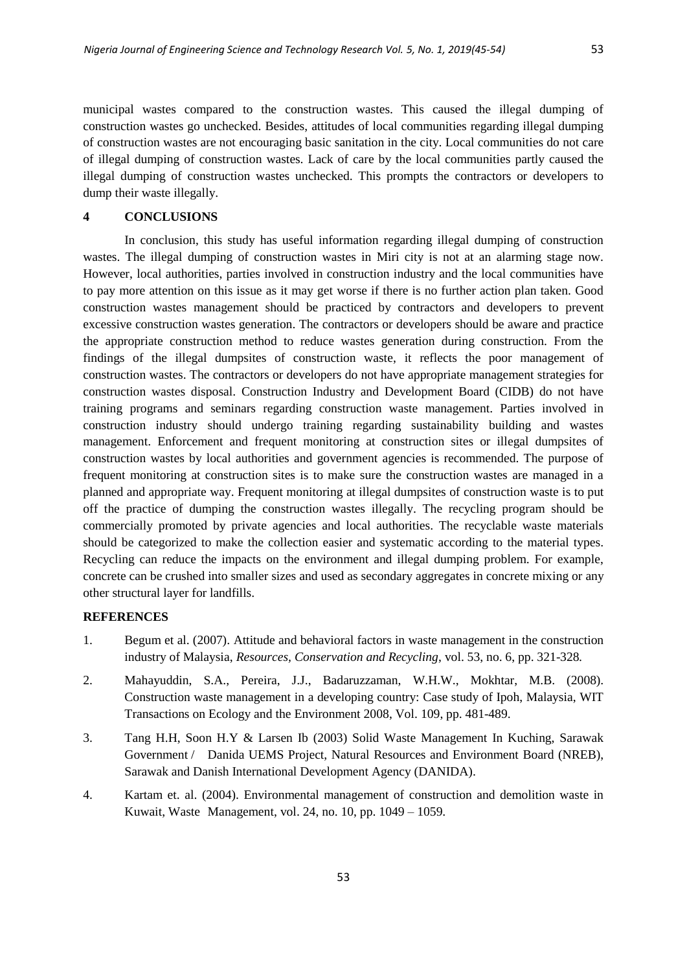municipal wastes compared to the construction wastes. This caused the illegal dumping of construction wastes go unchecked. Besides, attitudes of local communities regarding illegal dumping of construction wastes are not encouraging basic sanitation in the city. Local communities do not care of illegal dumping of construction wastes. Lack of care by the local communities partly caused the illegal dumping of construction wastes unchecked. This prompts the contractors or developers to dump their waste illegally.

#### **4 CONCLUSIONS**

In conclusion, this study has useful information regarding illegal dumping of construction wastes. The illegal dumping of construction wastes in Miri city is not at an alarming stage now. However, local authorities, parties involved in construction industry and the local communities have to pay more attention on this issue as it may get worse if there is no further action plan taken. Good construction wastes management should be practiced by contractors and developers to prevent excessive construction wastes generation. The contractors or developers should be aware and practice the appropriate construction method to reduce wastes generation during construction. From the findings of the illegal dumpsites of construction waste, it reflects the poor management of construction wastes. The contractors or developers do not have appropriate management strategies for construction wastes disposal. Construction Industry and Development Board (CIDB) do not have training programs and seminars regarding construction waste management. Parties involved in construction industry should undergo training regarding sustainability building and wastes management. Enforcement and frequent monitoring at construction sites or illegal dumpsites of construction wastes by local authorities and government agencies is recommended. The purpose of frequent monitoring at construction sites is to make sure the construction wastes are managed in a planned and appropriate way. Frequent monitoring at illegal dumpsites of construction waste is to put off the practice of dumping the construction wastes illegally. The recycling program should be commercially promoted by private agencies and local authorities. The recyclable waste materials should be categorized to make the collection easier and systematic according to the material types. Recycling can reduce the impacts on the environment and illegal dumping problem. For example, concrete can be crushed into smaller sizes and used as secondary aggregates in concrete mixing or any other structural layer for landfills.

# **REFERENCES**

- 1. Begum et al. (2007). [Attitude and behavioral factors in waste management in the construction](http://www.sciencedirect.com.dbgw.lis.curtin.edu.au/science?_ob=ArticleURL&_udi=B6VDX-4VVN4V1-1&_user=41361&_coverDate=04%2F30%2F2009&_alid=913171147&_rdoc=32&_fmt=high&_orig=search&_cdi=5994&_sort=d&_st=4&_docanchor=&_ct=631&_acct=C000004498&_version=1&_urlVersion=0&_userid=41361&md5=b2db3ffc8eff25eecca92d4491f6ec21)  [industry of Malaysia,](http://www.sciencedirect.com.dbgw.lis.curtin.edu.au/science?_ob=ArticleURL&_udi=B6VDX-4VVN4V1-1&_user=41361&_coverDate=04%2F30%2F2009&_alid=913171147&_rdoc=32&_fmt=high&_orig=search&_cdi=5994&_sort=d&_st=4&_docanchor=&_ct=631&_acct=C000004498&_version=1&_urlVersion=0&_userid=41361&md5=b2db3ffc8eff25eecca92d4491f6ec21) *Resources, Conservation and Recycling*, vol. 53, no. 6, pp. 321-328*.*
- 2. Mahayuddin, S.A., Pereira, J.J., Badaruzzaman, W.H.W., Mokhtar, M.B. (2008). Construction waste management in a developing country: Case study of Ipoh, Malaysia, WIT Transactions on Ecology and the Environment 2008, Vol. 109, pp. 481-489.
- 3. Tang H.H, Soon H.Y & Larsen Ib (2003) Solid Waste Management In Kuching, Sarawak Government / Danida UEMS Project, Natural Resources and Environment Board (NREB), Sarawak and Danish International Development Agency (DANIDA).
- 4. Kartam et. al. (2004). Environmental management of construction and demolition waste in Kuwait, Waste Management, vol. 24, no. 10, pp. 1049 – 1059.